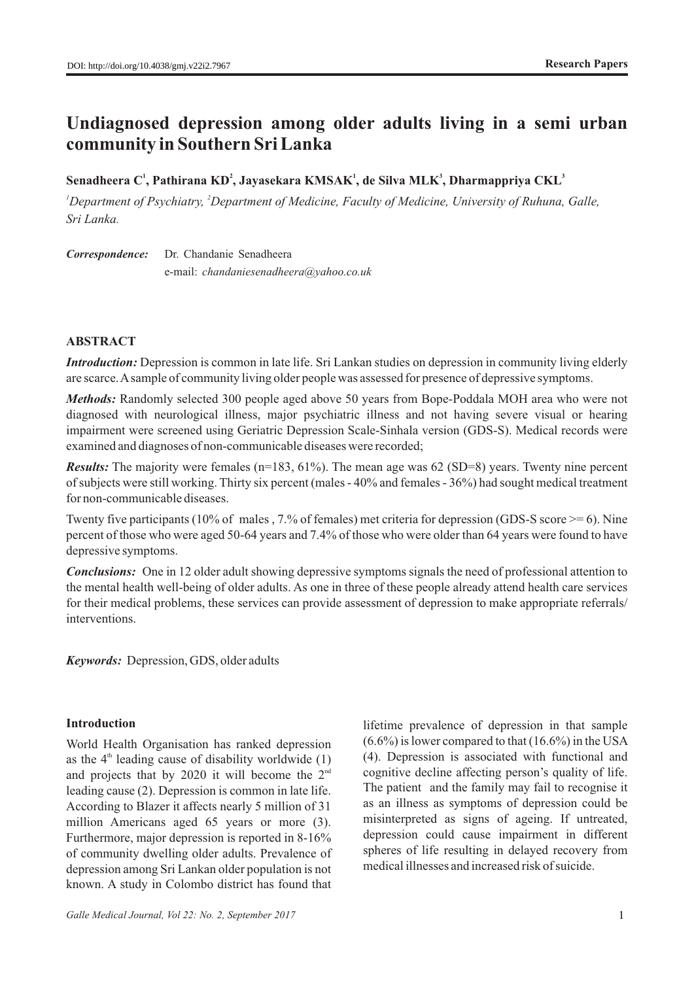# **Undiagnosed depression among older adults living in a semi urban community in Southern Sri Lanka**

## **1 2 1 3 3 Senadheera C , Pathirana KD , Jayasekara KMSAK , de Silva MLK , Dharmappriya CKL**

*<sup>1</sup> <sup>2</sup> Department of Psychiatry, Department of Medicine, Faculty of Medicine, University of Ruhuna, Galle, Sri Lanka.* 

*Correspondence:* Dr. Chandanie Senadheera e-mail: *chandaniesenadheera@yahoo.co.uk* 

# **ABSTRACT**

*Introduction:* Depression is common in late life. Sri Lankan studies on depression in community living elderly are scarce. Asample of community living older people was assessed for presence of depressive symptoms.

*Methods:* Randomly selected 300 people aged above 50 years from Bope-Poddala MOH area who were not diagnosed with neurological illness, major psychiatric illness and not having severe visual or hearing impairment were screened using Geriatric Depression Scale-Sinhala version (GDS-S). Medical records were examined and diagnoses of non-communicable diseases were recorded;

*Results:* The majority were females (n=183, 61%). The mean age was 62 (SD=8) years. Twenty nine percent of subjects were still working. Thirty six percent (males - 40% and females - 36%) had sought medical treatment for non-communicable diseases.

Twenty five participants (10% of males , 7.% of females) met criteria for depression (GDS-S score  $\geq$  = 6). Nine percent of those who were aged 50-64 years and 7.4% of those who were older than 64 years were found to have depressive symptoms.

*Conclusions:* One in 12 older adult showing depressive symptoms signals the need of professional attention to the mental health well-being of older adults. As one in three of these people already attend health care services for their medical problems, these services can provide assessment of depression to make appropriate referrals/ interventions.

*Keywords:* Depression, GDS, older adults

# **Introduction**

World Health Organisation has ranked depression as the  $4<sup>th</sup>$  leading cause of disability worldwide (1) and projects that by 2020 it will become the  $2<sup>nd</sup>$ leading cause (2). Depression is common in late life. According to Blazer it affects nearly 5 million of 31 million Americans aged 65 years or more (3). Furthermore, major depression is reported in 8-16% of community dwelling older adults. Prevalence of depression among Sri Lankan older population is not known. A study in Colombo district has found that

lifetime prevalence of depression in that sample  $(6.6\%)$  is lower compared to that  $(16.6\%)$  in the USA (4). Depression is associated with functional and cognitive decline affecting person's quality of life. The patient and the family may fail to recognise it as an illness as symptoms of depression could be misinterpreted as signs of ageing. If untreated, depression could cause impairment in different spheres of life resulting in delayed recovery from medical illnesses and increased risk of suicide.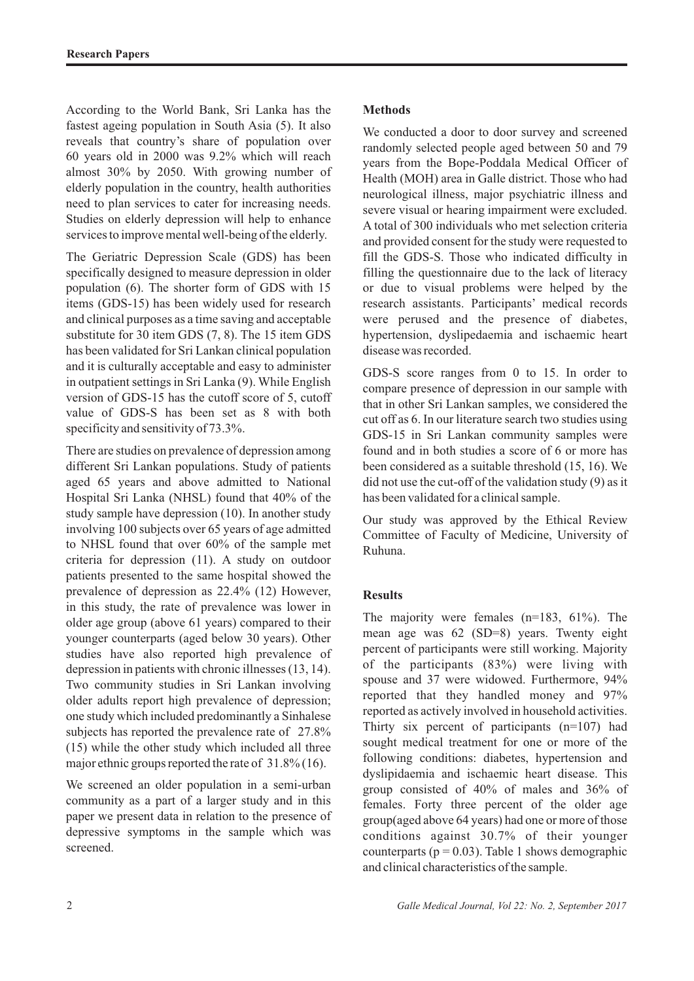According to the World Bank, Sri Lanka has the fastest ageing population in South Asia (5). It also reveals that country's share of population over 60 years old in 2000 was 9.2% which will reach almost 30% by 2050. With growing number of elderly population in the country, health authorities need to plan services to cater for increasing needs. Studies on elderly depression will help to enhance services to improve mental well-being of the elderly.

The Geriatric Depression Scale (GDS) has been specifically designed to measure depression in older population (6). The shorter form of GDS with 15 items (GDS-15) has been widely used for research and clinical purposes as a time saving and acceptable substitute for 30 item GDS (7, 8). The 15 item GDS has been validated for Sri Lankan clinical population and it is culturally acceptable and easy to administer in outpatient settings in Sri Lanka (9). While English version of GDS-15 has the cutoff score of 5, cutoff value of GDS-S has been set as 8 with both specificity and sensitivity of 73.3%.

There are studies on prevalence of depression among different Sri Lankan populations. Study of patients aged 65 years and above admitted to National Hospital Sri Lanka (NHSL) found that 40% of the study sample have depression (10). In another study involving 100 subjects over 65 years of age admitted to NHSL found that over 60% of the sample met criteria for depression (11). A study on outdoor patients presented to the same hospital showed the prevalence of depression as 22.4% (12) However, in this study, the rate of prevalence was lower in older age group (above 61 years) compared to their younger counterparts (aged below 30 years). Other studies have also reported high prevalence of depression in patients with chronic illnesses (13, 14). Two community studies in Sri Lankan involving older adults report high prevalence of depression; one study which included predominantly a Sinhalese subjects has reported the prevalence rate of 27.8% (15) while the other study which included all three major ethnic groups reported the rate of 31.8% (16).

We screened an older population in a semi-urban community as a part of a larger study and in this paper we present data in relation to the presence of depressive symptoms in the sample which was screened.

# **Methods**

We conducted a door to door survey and screened randomly selected people aged between 50 and 79 years from the Bope-Poddala Medical Officer of Health (MOH) area in Galle district. Those who had neurological illness, major psychiatric illness and severe visual or hearing impairment were excluded. A total of 300 individuals who met selection criteria and provided consent for the study were requested to fill the GDS-S. Those who indicated difficulty in filling the questionnaire due to the lack of literacy or due to visual problems were helped by the research assistants. Participants' medical records were perused and the presence of diabetes, hypertension, dyslipedaemia and ischaemic heart disease was recorded.

GDS-S score ranges from 0 to 15. In order to compare presence of depression in our sample with that in other Sri Lankan samples, we considered the cut off as 6. In our literature search two studies using GDS-15 in Sri Lankan community samples were found and in both studies a score of 6 or more has been considered as a suitable threshold (15, 16). We did not use the cut-off of the validation study (9) as it has been validated for a clinical sample.

Our study was approved by the Ethical Review Committee of Faculty of Medicine, University of Ruhuna.

# **Results**

The majority were females (n=183, 61%). The mean age was 62 (SD=8) years. Twenty eight percent of participants were still working. Majority of the participants (83%) were living with spouse and 37 were widowed. Furthermore, 94% reported that they handled money and 97% reported as actively involved in household activities. Thirty six percent of participants (n=107) had sought medical treatment for one or more of the following conditions: diabetes, hypertension and dyslipidaemia and ischaemic heart disease. This group consisted of 40% of males and 36% of females. Forty three percent of the older age group(aged above 64 years) had one or more of those conditions against 30.7% of their younger counterparts ( $p = 0.03$ ). Table 1 shows demographic and clinical characteristics of the sample.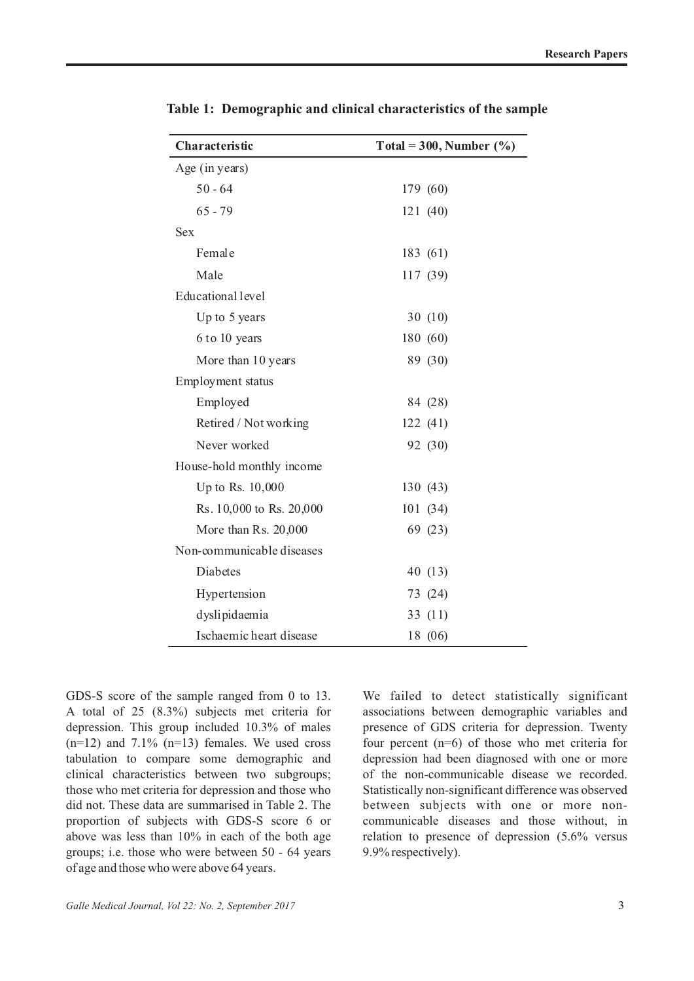GDS-S score of the sample ranged from 0 to 13. A total of 25 (8.3%) subjects met criteria for depression. This group included 10.3% of males  $(n=12)$  and 7.1%  $(n=13)$  females. We used cross tabulation to compare some demographic and clinical characteristics between two subgroups; those who met criteria for depression and those who did not. These data are summarised in Table 2. The proportion of subjects with GDS-S score 6 or above was less than 10% in each of the both age groups; i.e. those who were between 50 - 64 years We failed to detect statistically significant associations between demographic variables and presence of GDS criteria for depression. Twenty four percent (n=6) of those who met criteria for depression had been diagnosed with one or more of the non-communicable disease we recorded. Statistically non-significant difference was observed between subjects with one or more noncommunicable diseases and those without, in relation to presence of depression (5.6% versus 9.9% respectively).

**Table 1: Demographic and clinical characteristics of the sample**

| Characteristic            | Total = 300, Number $(\% )$ |
|---------------------------|-----------------------------|
| Age (in years)            |                             |
| $50 - 64$                 | 179 (60)                    |
| $65 - 79$                 | 121(40)                     |
| <b>Sex</b>                |                             |
| Female                    | 183 (61)                    |
| Male                      | 117 (39)                    |
| Educational level         |                             |
| Up to 5 years             | 30(10)                      |
| 6 to 10 years             | 180 (60)                    |
| More than 10 years        | 89 (30)                     |
| Employment status         |                             |
| Employed                  | 84 (28)                     |
| Retired / Not working     | 122(41)                     |
| Never worked              | 92 (30)                     |
| House-hold monthly income |                             |
| Up to Rs. 10,000          | 130(43)                     |
| Rs. 10,000 to Rs. 20,000  | 101(34)                     |
| More than Rs. 20,000      | 69 (23)                     |
| Non-communicable diseases |                             |
| Diabetes                  | 40 (13)                     |
| Hypertension              | 73 (24)                     |
| dyslipidaemia             | 33 $(11)$                   |
| Ischaemic heart disease   | 18 (06)                     |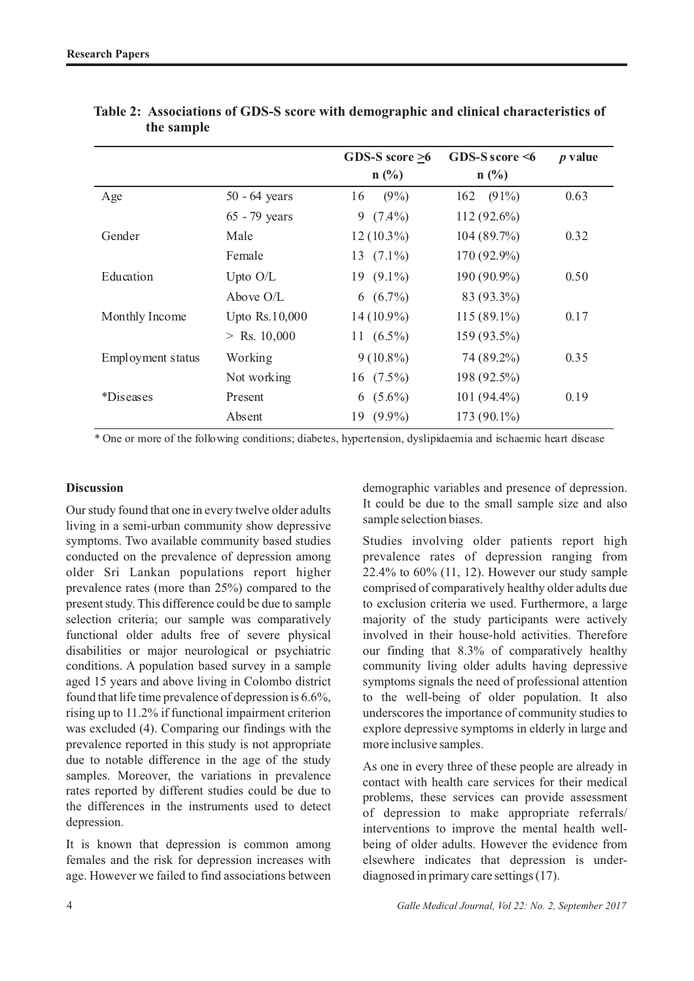|                   |                 | GDS-S score $>6$<br>$n$ (%) | GDS-S score $\leq 6$<br>$n(^{0}/_{0})$ | $p$ value |
|-------------------|-----------------|-----------------------------|----------------------------------------|-----------|
|                   |                 |                             |                                        |           |
| Age               | $50 - 64$ years | $(9\%)$<br>16               | $(91\%)$<br>162                        | 0.63      |
|                   | 65 - 79 years   | 9<br>$(7.4\%)$              | $112(92.6\%)$                          |           |
| Gender            | Male            | $12(10.3\%)$                | 104(89.7%)                             | 0.32      |
|                   | Female          | 13 $(7.1\%)$                | 170 (92.9%)                            |           |
| Education         | Upto O/L        | 19 $(9.1\%)$                | 190 (90.9%)                            | 0.50      |
|                   | Above O/L       | 6 $(6.7\%)$                 | 83 (93.3%)                             |           |
| Monthly Income    | Upto Rs.10,000  | $14(10.9\%)$                | $115(89.1\%)$                          | 0.17      |
|                   | $>$ Rs. 10,000  | 11 $(6.5\%)$                | 159 (93.5%)                            |           |
| Employment status | Working         | $9(10.8\%)$                 | 74 (89.2%)                             | 0.35      |
|                   | Not working     | 16 $(7.5\%)$                | 198 (92.5%)                            |           |
| *Diseases         | Present         | 6 $(5.6\%)$                 | $101(94.4\%)$                          | 0.19      |
|                   | Absent          | $19(9.9\%)$                 | 173 (90.1%)                            |           |

| Table 2: Associations of GDS-S score with demographic and clinical characteristics of |
|---------------------------------------------------------------------------------------|
| the sample                                                                            |

\* One or more of the following conditions; diabetes, hypertension, dyslipidaemia and ischaemic heart disease

## **Discussion**

Our study found that one in every twelve older adults living in a semi-urban community show depressive symptoms. Two available community based studies conducted on the prevalence of depression among older Sri Lankan populations report higher prevalence rates (more than 25%) compared to the present study. This difference could be due to sample selection criteria; our sample was comparatively functional older adults free of severe physical disabilities or major neurological or psychiatric conditions. A population based survey in a sample aged 15 years and above living in Colombo district found that life time prevalence of depression is 6.6%, rising up to 11.2% if functional impairment criterion was excluded (4). Comparing our findings with the prevalence reported in this study is not appropriate due to notable difference in the age of the study samples. Moreover, the variations in prevalence rates reported by different studies could be due to the differences in the instruments used to detect depression.

It is known that depression is common among females and the risk for depression increases with age. However we failed to find associations between demographic variables and presence of depression. It could be due to the small sample size and also sample selection biases.

Studies involving older patients report high prevalence rates of depression ranging from 22.4% to 60% (11, 12). However our study sample comprised of comparatively healthy older adults due to exclusion criteria we used. Furthermore, a large majority of the study participants were actively involved in their house-hold activities. Therefore our finding that 8.3% of comparatively healthy community living older adults having depressive symptoms signals the need of professional attention to the well-being of older population. It also underscores the importance of community studies to explore depressive symptoms in elderly in large and more inclusive samples.

As one in every three of these people are already in contact with health care services for their medical problems, these services can provide assessment of depression to make appropriate referrals/ interventions to improve the mental health wellbeing of older adults. However the evidence from elsewhere indicates that depression is underdiagnosed in primary care settings (17).